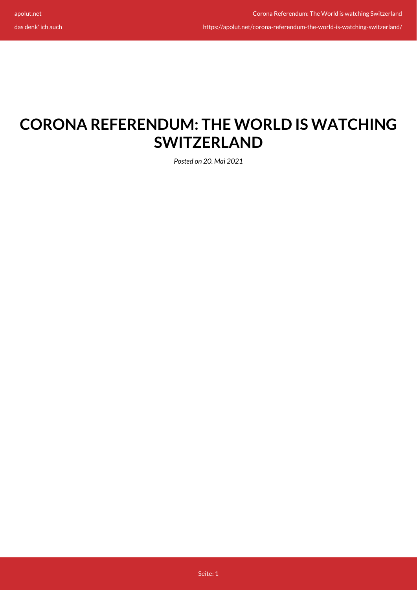das denk' ich auch

## **CORONA REFERENDUM: THE WORLD IS WATCHING SWITZERLAND**

*Posted on 20. Mai 2021*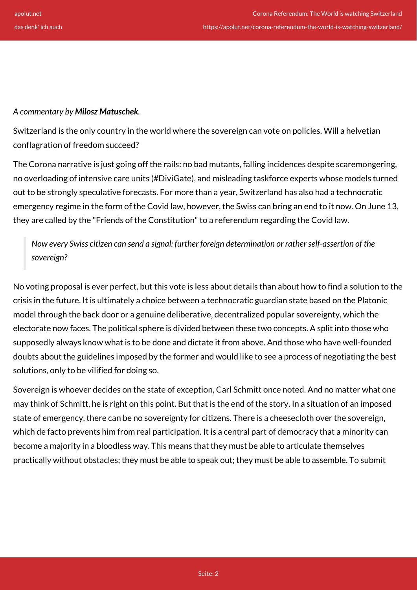## *A commentary by Milosz Matuschek.*

Switzerland is the only country in the world where the sovereign can vote on policies. Will a helvetian conflagration of freedom succeed?

The Corona narrative is just going off the rails: no bad mutants, falling incidences despite scaremongering, no overloading of intensive care units (#DiviGate), and misleading taskforce experts whose models turned out to be strongly speculative forecasts. For more than a year, Switzerland has also had a technocratic emergency regime in the form of the Covid law, however, the Swiss can bring an end to it now. On June 13, they are called by the "Friends of the Constitution" to a referendum regarding the Covid law.

*Now every Swiss citizen can send a signal: further foreign determination or rather self-assertion of the sovereign?*

No voting proposal is ever perfect, but this vote is less about details than about how to find a solution to the crisis in the future. It is ultimately a choice between a technocratic guardian state based on the Platonic model through the back door or a genuine deliberative, decentralized popular sovereignty, which the electorate now faces. The political sphere is divided between these two concepts. A split into those who supposedly always know what is to be done and dictate it from above. And those who have well-founded doubts about the guidelines imposed by the former and would like to see a process of negotiating the best solutions, only to be vilified for doing so.

Sovereign is whoever decides on the state of exception, Carl Schmitt once noted. And no matter what one may think of Schmitt, he is right on this point. But that is the end of the story. In a situation of an imposed state of emergency, there can be no sovereignty for citizens. There is a cheesecloth over the sovereign, which de facto prevents him from real participation. It is a central part of democracy that a minority can become a majority in a bloodless way. This means that they must be able to articulate themselves practically without obstacles; they must be able to speak out; they must be able to assemble. To submit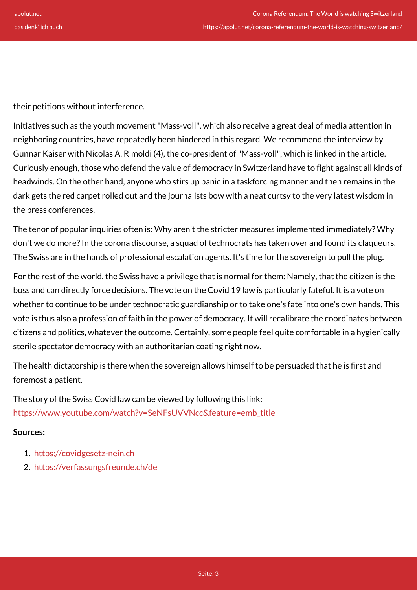their petitions without interference.

Initiatives such as the youth movement "Mass-voll", which also receive a great deal of media attention in neighboring countries, have repeatedly been hindered in this regard. We recommend the interview by Gunnar Kaiser with Nicolas A. Rimoldi (4), the co-president of "Mass-voll", which is linked in the article. Curiously enough, those who defend the value of democracy in Switzerland have to fight against all kinds of headwinds. On the other hand, anyone who stirs up panic in a taskforcing manner and then remains in the dark gets the red carpet rolled out and the journalists bow with a neat curtsy to the very latest wisdom in the press conferences.

The tenor of popular inquiries often is: Why aren't the stricter measures implemented immediately? Why don't we do more? In the corona discourse, a squad of technocrats has taken over and found its claqueurs. The Swiss are in the hands of professional escalation agents. It's time for the sovereign to pull the plug.

For the rest of the world, the Swiss have a privilege that is normal for them: Namely, that the citizen is the boss and can directly force decisions. The vote on the Covid 19 law is particularly fateful. It is a vote on whether to continue to be under technocratic guardianship or to take one's fate into one's own hands. This vote is thus also a profession of faith in the power of democracy. It will recalibrate the coordinates between citizens and politics, whatever the outcome. Certainly, some people feel quite comfortable in a hygienically sterile spectator democracy with an authoritarian coating right now.

The health dictatorship is there when the sovereign allows himself to be persuaded that he is first and foremost a patient.

The story of the Swiss Covid law can be viewed by following this link: [https://www.youtube.com/watch?v=SeNFsUVVNcc&feature=emb\\_title](https://www.youtube.com/watch?v=SeNFsUVVNcc&feature=emb_title)

## **Sources:**

- 1. <https://covidgesetz-nein.ch>
- 2. <https://verfassungsfreunde.ch/de>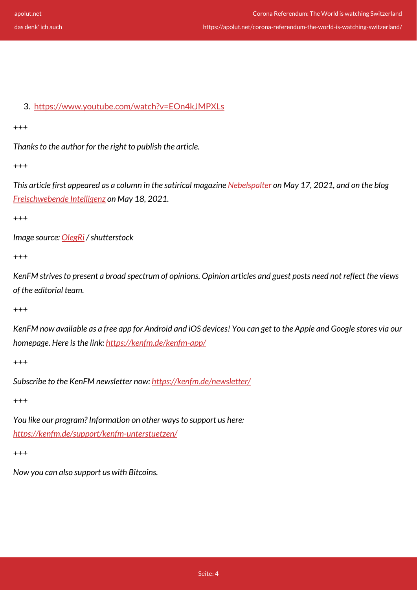## 3. <https://www.youtube.com/watch?v=EOn4kJMPXLs>

*+++*

*Thanks to the author for the right to publish the article.*

*+++*

*This article first appeared as a column in the satirical magazine [Nebelspalter](https://www.nebelspalter.ch/es-liegt-in-der-hand-der-schweizer,-das-corona-regime-zu-sprengen) on May 17, 2021, and on the blog [Freischwebende Intelligenz](https://miloszmatuschek.substack.com/p/corona-volkabstimmung-die-welt-schaut?token=eyJ1c2VyX2lkIjoxNjgzMDc3MywicG9zdF9pZCI6MzY1NjIxMjAsIl8iOiJ5V1lMRSIsImlhdCI6MTYyMTQ5OTY5MCwiZXhwIjoxNjIxNTAzMjkwLCJpc3MiOiJwdWItOTU1NDEiLCJzdWIiOiJwb3N0LXJlYWN0aW9uIn0.YUyAesb-zfANoP5SdUX8_PXpqpnbeM9CTcNRTDwM0sA) on May 18, 2021.*

*+++*

*Image source: [OlegRi](https://www.shutterstock.com/de/g/Oleg+Petuhov) / shutterstock*

*+++*

*KenFM strives to present a broad spectrum of opinions. Opinion articles and guest posts need not reflect the views of the editorial team.*

*+++*

*KenFM now available as a free app for Android and iOS devices! You can get to the Apple and Google stores via our homepage. Here is the link:<https://kenfm.de/kenfm-app/>*

*+++*

*Subscribe to the KenFM newsletter now: <https://kenfm.de/newsletter/>*

*+++*

*You like our program? Information on other ways to support us here: <https://kenfm.de/support/kenfm-unterstuetzen/>*

*+++*

*Now you can also support us with Bitcoins.*